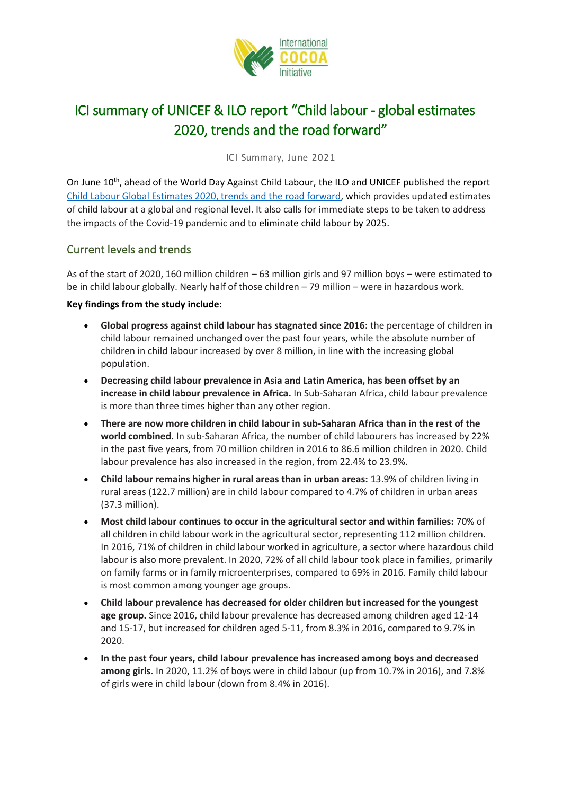

# ICI summary of UNICEF & ILO report "Child labour - global estimates 2020, trends and the road forward"

ICI Summary, June 2021

On June 10<sup>th</sup>, ahead of the World Day Against Child Labour, the ILO and UNICEF published the report [Child Labour Global Estimates 2020, trends and the road forward,](https://www.ilo.org/wcmsp5/groups/public/---ed_norm/---ipec/documents/publication/wcms_797515.pdf) which provides updated estimates of child labour at a global and regional level. It also calls for immediate steps to be taken to address the impacts of the Covid-19 pandemic and to eliminate child labour by 2025.

### Current levels and trends

As of the start of 2020, 160 million children – 63 million girls and 97 million boys – were estimated to be in child labour globally. Nearly half of those children – 79 million – were in hazardous work.

#### **Key findings from the study include:**

- **Global progress against child labour has stagnated since 2016:** the percentage of children in child labour remained unchanged over the past four years, while the absolute number of children in child labour increased by over 8 million, in line with the increasing global population.
- **Decreasing child labour prevalence in Asia and Latin America, has been offset by an increase in child labour prevalence in Africa.** In Sub-Saharan Africa, child labour prevalence is more than three times higher than any other region.
- **There are now more children in child labour in sub-Saharan Africa than in the rest of the world combined.** In sub-Saharan Africa, the number of child labourers has increased by 22% in the past five years, from 70 million children in 2016 to 86.6 million children in 2020. Child labour prevalence has also increased in the region, from 22.4% to 23.9%.
- **Child labour remains higher in rural areas than in urban areas:** 13.9% of children living in rural areas (122.7 million) are in child labour compared to 4.7% of children in urban areas (37.3 million).
- **Most child labour continues to occur in the agricultural sector and within families:** 70% of all children in child labour work in the agricultural sector, representing 112 million children. In 2016, 71% of children in child labour worked in agriculture, a sector where hazardous child labour is also more prevalent. In 2020, 72% of all child labour took place in families, primarily on family farms or in family microenterprises, compared to 69% in 2016. Family child labour is most common among younger age groups.
- **Child labour prevalence has decreased for older children but increased for the youngest age group.** Since 2016, child labour prevalence has decreased among children aged 12-14 and 15-17, but increased for children aged 5-11, from 8.3% in 2016, compared to 9.7% in 2020.
- **In the past four years, child labour prevalence has increased among boys and decreased among girls**. In 2020, 11.2% of boys were in child labour (up from 10.7% in 2016), and 7.8% of girls were in child labour (down from 8.4% in 2016).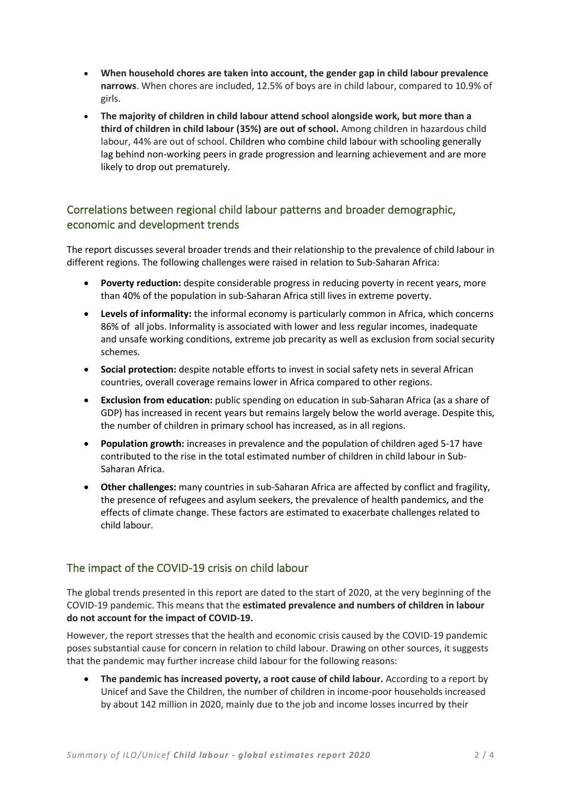- **When household chores are taken into account, the gender gap in child labour prevalence narrows**. When chores are included, 12.5% of boys are in child labour, compared to 10.9% of girls.
- **The majority of children in child labour attend school alongside work, but more than a third of children in child labour (35%) are out of school.** Among children in hazardous child labour, 44% are out of school. Children who combine child labour with schooling generally lag behind non-working peers in grade progression and learning achievement and are more likely to drop out prematurely.

## Correlations between regional child labour patterns and broader demographic, economic and development trends

The report discusses several broader trends and their relationship to the prevalence of child labour in different regions. The following challenges were raised in relation to Sub-Saharan Africa:

- **Poverty reduction:** despite considerable progress in reducing poverty in recent years, more than 40% of the population in sub-Saharan Africa still lives in extreme poverty.
- **Levels of informality:** the informal economy is particularly common in Africa, which concerns 86% of all jobs. Informality is associated with lower and less regular incomes, inadequate and unsafe working conditions, extreme job precarity as well as exclusion from social security schemes.
- **Social protection:** despite notable efforts to invest in social safety nets in several African countries, overall coverage remains lower in Africa compared to other regions.
- **Exclusion from education:** public spending on education in sub-Saharan Africa (as a share of GDP) has increased in recent years but remains largely below the world average. Despite this, the number of children in primary school has increased, as in all regions.
- **Population growth:** increases in prevalence and the population of children aged 5-17 have contributed to the rise in the total estimated number of children in child labour in Sub-Saharan Africa.
- **Other challenges:** many countries in sub-Saharan Africa are affected by conflict and fragility, the presence of refugees and asylum seekers, the prevalence of health pandemics, and the effects of climate change. These factors are estimated to exacerbate challenges related to child labour.

# The impact of the COVID-19 crisis on child labour

The global trends presented in this report are dated to the start of 2020, at the very beginning of the COVID-19 pandemic. This means that the **estimated prevalence and numbers of children in labour do not account for the impact of COVID-19.**

However, the report stresses that the health and economic crisis caused by the COVID-19 pandemic poses substantial cause for concern in relation to child labour. Drawing on other sources, it suggests that the pandemic may further increase child labour for the following reasons:

• The pandemic has increased poverty, a root cause of child labour. According to a report by Unicef and Save the Children, the number of children in income-poor households increased by about 142 million in 2020, mainly due to the job and income losses incurred by their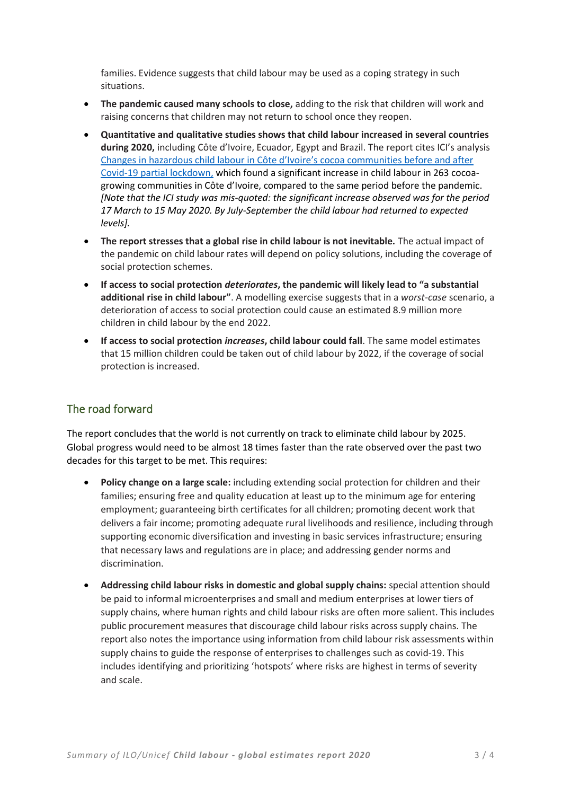families. Evidence suggests that child labour may be used as a coping strategy in such situations.

- **The pandemic caused many schools to close,** adding to the risk that children will work and raising concerns that children may not return to school once they reopen.
- **Quantitative and qualitative studies shows that child labour increased in several countries during 2020,** including Côte d'Ivoire, Ecuador, Egypt and Brazil. The report cites ICI's analysis [Changes in hazardous child labour in Côte d'Ivoire's cocoa communities before and after](https://cocoainitiative.org/wp-content/uploads/2020/11/rapid-analysis_Nov_EN.pdf)  [Covid-19 partial lockdown,](https://cocoainitiative.org/wp-content/uploads/2020/11/rapid-analysis_Nov_EN.pdf) which found a significant increase in child labour in 263 cocoagrowing communities in Côte d'Ivoire, compared to the same period before the pandemic. *[Note that the ICI study was mis-quoted: the significant increase observed was for the period 17 March to 15 May 2020. By July-September the child labour had returned to expected levels].*
- **The report stresses that a global rise in child labour is not inevitable.** The actual impact of the pandemic on child labour rates will depend on policy solutions, including the coverage of social protection schemes.
- **If access to social protection** *deteriorates***, the pandemic will likely lead to "a substantial additional rise in child labour"**. A modelling exercise suggests that in a *worst-case* scenario, a deterioration of access to social protection could cause an estimated 8.9 million more children in child labour by the end 2022.
- **If access to social protection** *increases***, child labour could fall**. The same model estimates that 15 million children could be taken out of child labour by 2022, if the coverage of social protection is increased.

### The road forward

The report concludes that the world is not currently on track to eliminate child labour by 2025. Global progress would need to be almost 18 times faster than the rate observed over the past two decades for this target to be met. This requires:

- **Policy change on a large scale:** including extending social protection for children and their families; ensuring free and quality education at least up to the minimum age for entering employment; guaranteeing birth certificates for all children; promoting decent work that delivers a fair income; promoting adequate rural livelihoods and resilience, including through supporting economic diversification and investing in basic services infrastructure; ensuring that necessary laws and regulations are in place; and addressing gender norms and discrimination.
- **Addressing child labour risks in domestic and global supply chains:** special attention should be paid to informal microenterprises and small and medium enterprises at lower tiers of supply chains, where human rights and child labour risks are often more salient. This includes public procurement measures that discourage child labour risks across supply chains. The report also notes the importance using information from child labour risk assessments within supply chains to guide the response of enterprises to challenges such as covid-19. This includes identifying and prioritizing 'hotspots' where risks are highest in terms of severity and scale.